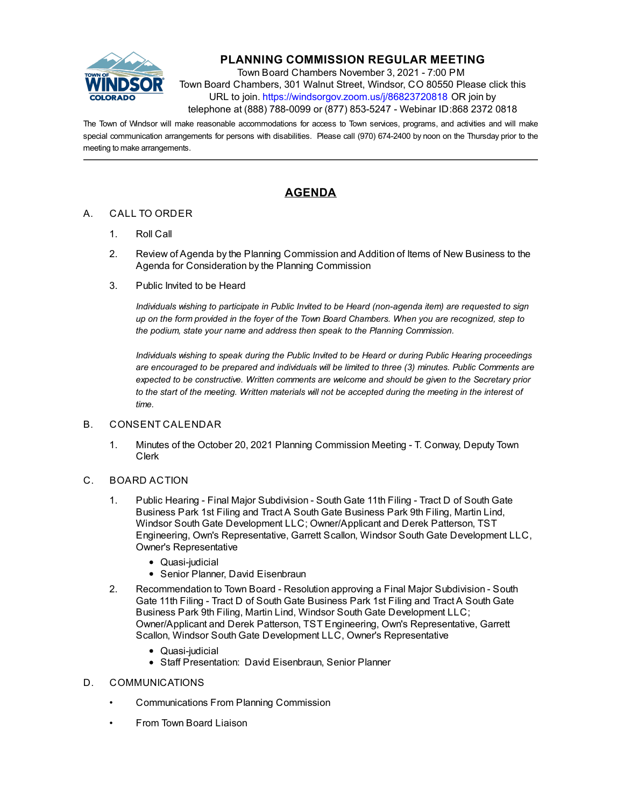

## **PLANNING COMMISSION REGULAR MEETING**

Town Board Chambers November 3, 2021 - 7:00 PM Town Board Chambers, 301 Walnut Street, Windsor, CO 80550 Please click this URL to join. https://windsorgov.zoom.us/j/86823720818 OR join by telephone at (888) 788-0099 or (877) 853-5247 - Webinar ID:868 2372 0818

The Town of Windsor will make reasonable accommodations for access to Town services, programs, and activities and will make special communication arrangements for persons with disabilities. Please call (970) 674-2400 by noon on the Thursday prior to the meeting to make arrangements.

## **AGENDA**

## A. CALL TO ORDER

- 1. Roll Call
- 2. Review of Agenda by the Planning Commission and Addition of Items of New Business to the Agenda for Consideration by the Planning Commission
- 3. Public Invited to be Heard

*Individuals wishing to participate in Public Invited to be Heard (non-agenda item) are requested to sign up on the form provided in the foyer of the Town Board Chambers. When you are recognized, step to the podium, state your name and address then speak to the Planning Commission.*

*Individuals wishing to speak during the Public Invited to be Heard or during Public Hearing proceedings are encouraged to be prepared and individuals will be limited to three (3) minutes. Public Comments are expected to be constructive. Written comments are welcome and should be given to the Secretary prior to the start of the meeting. Written materials will not be accepted during the meeting in the interest of time.*

## B. CONSENT CALENDAR

- 1. [Minutes of the October 20, 2021 Planning Commission Meeting T. Conway, Deputy Town](file:///C:/Windows/TEMP/CoverSheet.aspx?ItemID=1758&MeetingID=248) Clerk
- C. BOARD ACTION
	- 1. Public Hearing Final Major Subdivision South Gate 11th Filing Tract D of South Gate Business Park 1st Filing and Tract A South Gate Business Park 9th Filing, Martin Lind, Windsor South Gate Development LLC; Owner/Applicant and Derek Patterson, TST [Engineering, Own's Representative, Garrett Scallon, Windsor South Gate Development LLC,](file:///C:/Windows/TEMP/CoverSheet.aspx?ItemID=1749&MeetingID=248) Owner's Representative
		- Quasi-judicial
		- Senior Planner, David Eisenbraun
	- 2. [Recommendation to Town Board Resolution approving a Final Major Subdivision South](file:///C:/Windows/TEMP/CoverSheet.aspx?ItemID=1751&MeetingID=248) Gate 11th Filing - Tract D of South Gate Business Park 1st Filing and Tract A South Gate Business Park 9th Filing, Martin Lind, Windsor South Gate Development LLC; Owner/Applicant and Derek Patterson, TST Engineering, Own's Representative, Garrett Scallon, Windsor South Gate Development LLC, Owner's Representative
		- Quasi-judicial
		- Staff Presentation: David Eisenbraun, Senior Planner
- D. COMMUNICATIONS
	- Communications From Planning Commission
	- From Town Board Liaison